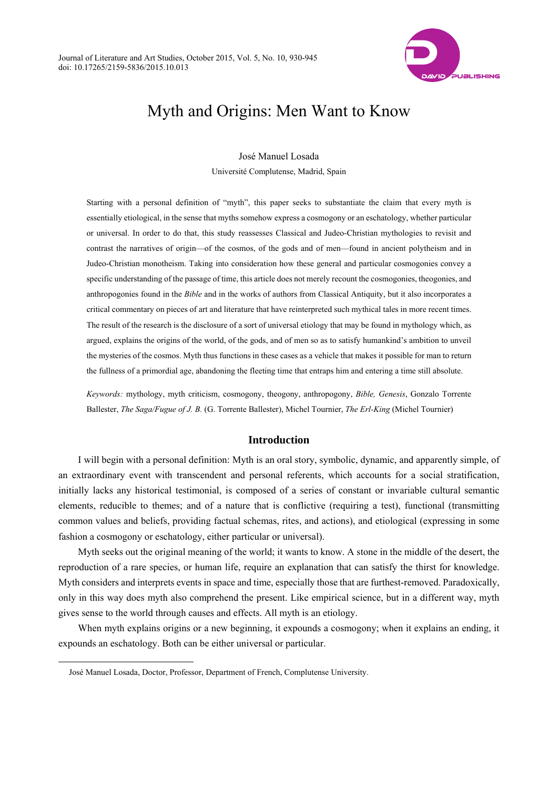

# Myth and Origins: Men Want to Know

José Manuel Losada Université Complutense, Madrid, Spain

Starting with a personal definition of "myth", this paper seeks to substantiate the claim that every myth is essentially etiological, in the sense that myths somehow express a cosmogony or an eschatology, whether particular or universal. In order to do that, this study reassesses Classical and Judeo-Christian mythologies to revisit and contrast the narratives of origin—of the cosmos, of the gods and of men—found in ancient polytheism and in Judeo-Christian monotheism. Taking into consideration how these general and particular cosmogonies convey a specific understanding of the passage of time, this article does not merely recount the cosmogonies, theogonies, and anthropogonies found in the *Bible* and in the works of authors from Classical Antiquity, but it also incorporates a critical commentary on pieces of art and literature that have reinterpreted such mythical tales in more recent times. The result of the research is the disclosure of a sort of universal etiology that may be found in mythology which, as argued, explains the origins of the world, of the gods, and of men so as to satisfy humankind's ambition to unveil the mysteries of the cosmos. Myth thus functions in these cases as a vehicle that makes it possible for man to return the fullness of a primordial age, abandoning the fleeting time that entraps him and entering a time still absolute.

*Keywords:* mythology, myth criticism, cosmogony, theogony, anthropogony, *Bible, Genesis*, Gonzalo Torrente Ballester, *The Saga/Fugue of J. B.* (G. Torrente Ballester), Michel Tournier, *The Erl-King* (Michel Tournier)

# **Introduction**

I will begin with a personal definition: Myth is an oral story, symbolic, dynamic, and apparently simple, of an extraordinary event with transcendent and personal referents, which accounts for a social stratification, initially lacks any historical testimonial, is composed of a series of constant or invariable cultural semantic elements, reducible to themes; and of a nature that is conflictive (requiring a test), functional (transmitting common values and beliefs, providing factual schemas, rites, and actions), and etiological (expressing in some fashion a cosmogony or eschatology, either particular or universal).

Myth seeks out the original meaning of the world; it wants to know. A stone in the middle of the desert, the reproduction of a rare species, or human life, require an explanation that can satisfy the thirst for knowledge. Myth considers and interprets events in space and time, especially those that are furthest-removed. Paradoxically, only in this way does myth also comprehend the present. Like empirical science, but in a different way, myth gives sense to the world through causes and effects. All myth is an etiology.

When myth explains origins or a new beginning, it expounds a cosmogony; when it explains an ending, it expounds an eschatology. Both can be either universal or particular.

 $\overline{a}$ 

José Manuel Losada, Doctor, Professor, Department of French, Complutense University.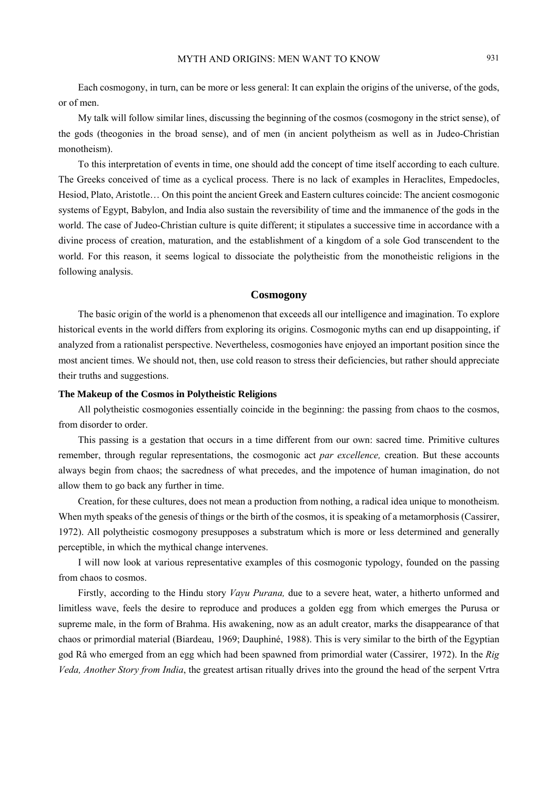Each cosmogony, in turn, can be more or less general: It can explain the origins of the universe, of the gods, or of men.

My talk will follow similar lines, discussing the beginning of the cosmos (cosmogony in the strict sense), of the gods (theogonies in the broad sense), and of men (in ancient polytheism as well as in Judeo-Christian monotheism).

To this interpretation of events in time, one should add the concept of time itself according to each culture. The Greeks conceived of time as a cyclical process. There is no lack of examples in Heraclites, Empedocles, Hesiod, Plato, Aristotle… On this point the ancient Greek and Eastern cultures coincide: The ancient cosmogonic systems of Egypt, Babylon, and India also sustain the reversibility of time and the immanence of the gods in the world. The case of Judeo-Christian culture is quite different; it stipulates a successive time in accordance with a divine process of creation, maturation, and the establishment of a kingdom of a sole God transcendent to the world. For this reason, it seems logical to dissociate the polytheistic from the monotheistic religions in the following analysis.

#### **Cosmogony**

The basic origin of the world is a phenomenon that exceeds all our intelligence and imagination. To explore historical events in the world differs from exploring its origins. Cosmogonic myths can end up disappointing, if analyzed from a rationalist perspective. Nevertheless, cosmogonies have enjoyed an important position since the most ancient times. We should not, then, use cold reason to stress their deficiencies, but rather should appreciate their truths and suggestions.

#### **The Makeup of the Cosmos in Polytheistic Religions**

All polytheistic cosmogonies essentially coincide in the beginning: the passing from chaos to the cosmos, from disorder to order.

This passing is a gestation that occurs in a time different from our own: sacred time. Primitive cultures remember, through regular representations, the cosmogonic act *par excellence,* creation. But these accounts always begin from chaos; the sacredness of what precedes, and the impotence of human imagination, do not allow them to go back any further in time.

Creation, for these cultures, does not mean a production from nothing, a radical idea unique to monotheism. When myth speaks of the genesis of things or the birth of the cosmos, it is speaking of a metamorphosis (Cassirer, 1972). All polytheistic cosmogony presupposes a substratum which is more or less determined and generally perceptible, in which the mythical change intervenes.

I will now look at various representative examples of this cosmogonic typology, founded on the passing from chaos to cosmos.

Firstly, according to the Hindu story *Vayu Purana,* due to a severe heat, water, a hitherto unformed and limitless wave, feels the desire to reproduce and produces a golden egg from which emerges the Purusa or supreme male, in the form of Brahma. His awakening, now as an adult creator, marks the disappearance of that chaos or primordial material (Biardeau, 1969; Dauphiné, 1988). This is very similar to the birth of the Egyptian god Râ who emerged from an egg which had been spawned from primordial water (Cassirer, 1972). In the *Rig Veda, Another Story from India*, the greatest artisan ritually drives into the ground the head of the serpent Vrtra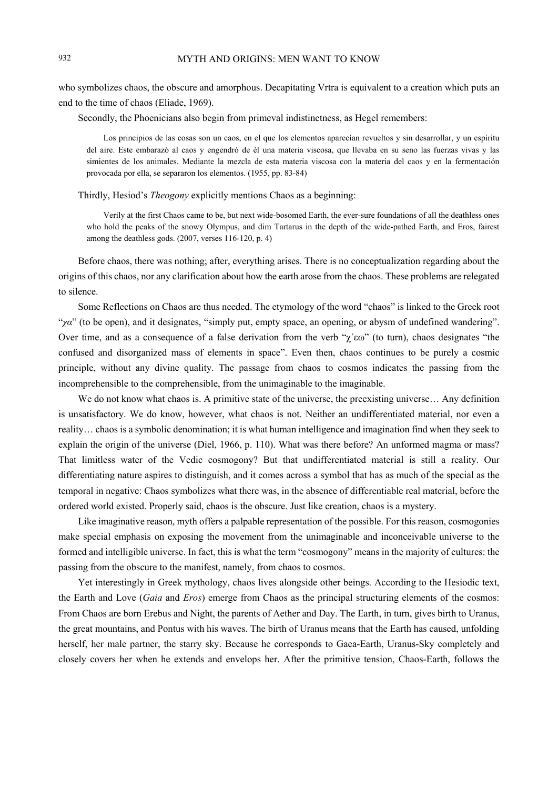who symbolizes chaos, the obscure and amorphous. Decapitating Vrtra is equivalent to a creation which puts an end to the time of chaos (Eliade, 1969).

Secondly, the Phoenicians also begin from primeval indistinctness, as Hegel remembers:

Los principios de las cosas son un caos, en el que los elementos aparecían revueltos y sin desarrollar, y un espíritu del aire. Este embarazó al caos y engendró de él una materia viscosa, que llevaba en su seno las fuerzas vivas y las simientes de los animales. Mediante la mezcla de esta materia viscosa con la materia del caos y en la fermentación provocada por ella, se separaron los elementos. (1955, pp. 83-84)

Thirdly, Hesiod's *Theogony* explicitly mentions Chaos as a beginning:

Verily at the first Chaos came to be, but next wide-bosomed Earth, the ever-sure foundations of all the deathless ones who hold the peaks of the snowy Olympus, and dim Tartarus in the depth of the wide-pathed Earth, and Eros, fairest among the deathless gods. (2007, verses 116-120, p. 4)

Before chaos, there was nothing; after, everything arises. There is no conceptualization regarding about the origins of this chaos, nor any clarification about how the earth arose from the chaos. These problems are relegated to silence.

Some Reflections on Chaos are thus needed. The etymology of the word "chaos" is linked to the Greek root "*χα*" (to be open), and it designates, "simply put, empty space, an opening, or abysm of undefined wandering". Over time, and as a consequence of a false derivation from the verb " $\chi^2 \epsilon \omega$ " (to turn), chaos designates "the confused and disorganized mass of elements in space". Even then, chaos continues to be purely a cosmic principle, without any divine quality. The passage from chaos to cosmos indicates the passing from the incomprehensible to the comprehensible, from the unimaginable to the imaginable.

We do not know what chaos is. A primitive state of the universe, the preexisting universe... Any definition is unsatisfactory. We do know, however, what chaos is not. Neither an undifferentiated material, nor even a reality… chaos is a symbolic denomination; it is what human intelligence and imagination find when they seek to explain the origin of the universe (Diel, 1966, p. 110). What was there before? An unformed magma or mass? That limitless water of the Vedic cosmogony? But that undifferentiated material is still a reality. Our differentiating nature aspires to distinguish, and it comes across a symbol that has as much of the special as the temporal in negative: Chaos symbolizes what there was, in the absence of differentiable real material, before the ordered world existed. Properly said, chaos is the obscure. Just like creation, chaos is a mystery.

Like imaginative reason, myth offers a palpable representation of the possible. For this reason, cosmogonies make special emphasis on exposing the movement from the unimaginable and inconceivable universe to the formed and intelligible universe. In fact, this is what the term "cosmogony" means in the majority of cultures: the passing from the obscure to the manifest, namely, from chaos to cosmos.

Yet interestingly in Greek mythology, chaos lives alongside other beings. According to the Hesiodic text, the Earth and Love (*Gaia* and *Eros*) emerge from Chaos as the principal structuring elements of the cosmos: From Chaos are born Erebus and Night, the parents of Aether and Day. The Earth, in turn, gives birth to Uranus, the great mountains, and Pontus with his waves. The birth of Uranus means that the Earth has caused, unfolding herself, her male partner, the starry sky. Because he corresponds to Gaea-Earth, Uranus-Sky completely and closely covers her when he extends and envelops her. After the primitive tension, Chaos-Earth, follows the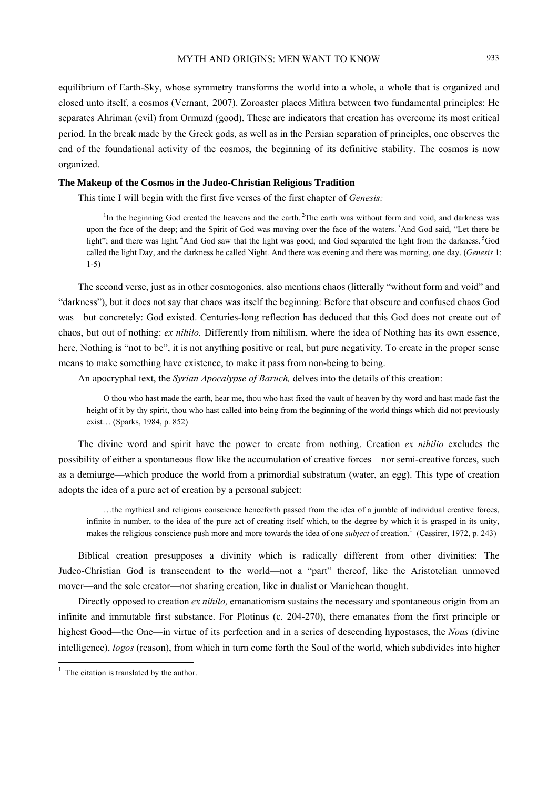## MYTH AND ORIGINS: MEN WANT TO KNOW 933

equilibrium of Earth-Sky, whose symmetry transforms the world into a whole, a whole that is organized and closed unto itself, a cosmos (Vernant, 2007). Zoroaster places Mithra between two fundamental principles: He separates Ahriman (evil) from Ormuzd (good). These are indicators that creation has overcome its most critical period. In the break made by the Greek gods, as well as in the Persian separation of principles, one observes the end of the foundational activity of the cosmos, the beginning of its definitive stability. The cosmos is now organized.

## **The Makeup of the Cosmos in the Judeo-Christian Religious Tradition**

This time I will begin with the first five verses of the first chapter of *Genesis:* 

<sup>1</sup>In the beginning God created the heavens and the earth. <sup>2</sup>The earth was without form and void, and darkness was upon the face of the deep; and the Spirit of God was moving over the face of the waters. 3And God said, "Let there be light"; and there was light. <sup>4</sup>And God saw that the light was good; and God separated the light from the darkness. <sup>5</sup>God called the light Day, and the darkness he called Night. And there was evening and there was morning, one day. (*Genesis* 1: 1-5)

The second verse, just as in other cosmogonies, also mentions chaos (litterally "without form and void" and "darkness"), but it does not say that chaos was itself the beginning: Before that obscure and confused chaos God was—but concretely: God existed. Centuries-long reflection has deduced that this God does not create out of chaos, but out of nothing: *ex nihilo.* Differently from nihilism, where the idea of Nothing has its own essence, here, Nothing is "not to be", it is not anything positive or real, but pure negativity. To create in the proper sense means to make something have existence, to make it pass from non-being to being.

An apocryphal text, the *Syrian Apocalypse of Baruch,* delves into the details of this creation:

O thou who hast made the earth, hear me, thou who hast fixed the vault of heaven by thy word and hast made fast the height of it by thy spirit, thou who hast called into being from the beginning of the world things which did not previously exist… (Sparks, 1984, p. 852)

The divine word and spirit have the power to create from nothing. Creation *ex nihilio* excludes the possibility of either a spontaneous flow like the accumulation of creative forces—nor semi-creative forces, such as a demiurge—which produce the world from a primordial substratum (water, an egg). This type of creation adopts the idea of a pure act of creation by a personal subject:

…the mythical and religious conscience henceforth passed from the idea of a jumble of individual creative forces, infinite in number, to the idea of the pure act of creating itself which, to the degree by which it is grasped in its unity, makes the religious conscience push more and more towards the idea of one *subject* of creation.<sup>1</sup> (Cassirer, 1972, p. 243)

Biblical creation presupposes a divinity which is radically different from other divinities: The Judeo-Christian God is transcendent to the world—not a "part" thereof, like the Aristotelian unmoved mover—and the sole creator—not sharing creation, like in dualist or Manichean thought.

Directly opposed to creation *ex nihilo*, emanationism sustains the necessary and spontaneous origin from an infinite and immutable first substance. For Plotinus (c. 204-270), there emanates from the first principle or highest Good—the One—in virtue of its perfection and in a series of descending hypostases, the *Nous* (divine intelligence), *logos* (reason), from which in turn come forth the Soul of the world, which subdivides into higher

<sup>&</sup>lt;sup>1</sup> The citation is translated by the author.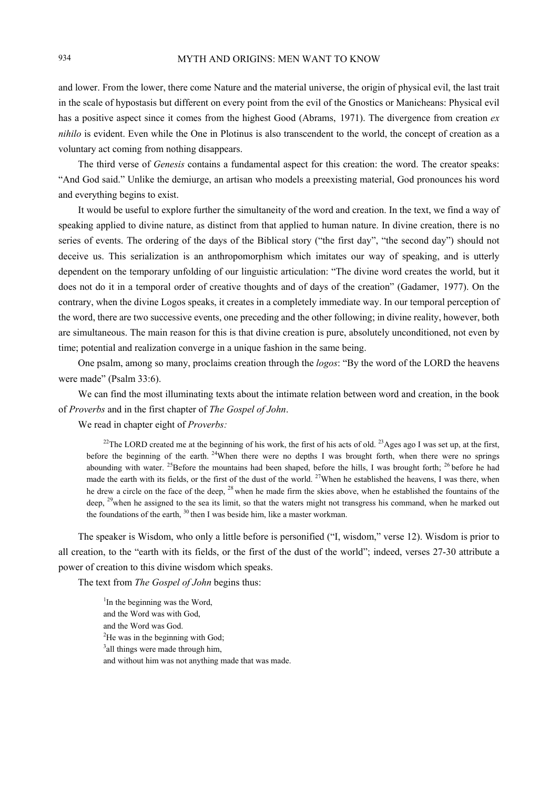and lower. From the lower, there come Nature and the material universe, the origin of physical evil, the last trait in the scale of hypostasis but different on every point from the evil of the Gnostics or Manicheans: Physical evil has a positive aspect since it comes from the highest Good (Abrams, 1971). The divergence from creation *ex nihilo* is evident. Even while the One in Plotinus is also transcendent to the world, the concept of creation as a voluntary act coming from nothing disappears.

The third verse of *Genesis* contains a fundamental aspect for this creation: the word. The creator speaks: "And God said." Unlike the demiurge, an artisan who models a preexisting material, God pronounces his word and everything begins to exist.

It would be useful to explore further the simultaneity of the word and creation. In the text, we find a way of speaking applied to divine nature, as distinct from that applied to human nature. In divine creation, there is no series of events. The ordering of the days of the Biblical story ("the first day", "the second day") should not deceive us. This serialization is an anthropomorphism which imitates our way of speaking, and is utterly dependent on the temporary unfolding of our linguistic articulation: "The divine word creates the world, but it does not do it in a temporal order of creative thoughts and of days of the creation" (Gadamer, 1977). On the contrary, when the divine Logos speaks, it creates in a completely immediate way. In our temporal perception of the word, there are two successive events, one preceding and the other following; in divine reality, however, both are simultaneous. The main reason for this is that divine creation is pure, absolutely unconditioned, not even by time; potential and realization converge in a unique fashion in the same being.

One psalm, among so many, proclaims creation through the *logos*: "By the word of the LORD the heavens were made" (Psalm 33:6).

We can find the most illuminating texts about the intimate relation between word and creation, in the book of *Proverbs* and in the first chapter of *The Gospel of John*.

We read in chapter eight of *Proverbs:* 

<sup>22</sup>The LORD created me at the beginning of his work, the first of his acts of old. <sup>23</sup>Ages ago I was set up, at the first, before the beginning of the earth. <sup>24</sup>When there were no depths I was brought forth, when there were no springs abounding with water. <sup>25</sup>Before the mountains had been shaped, before the hills, I was brought forth; <sup>26</sup> before he had made the earth with its fields, or the first of the dust of the world.  $27$ When he established the heavens. I was there, when he drew a circle on the face of the deep, <sup>28</sup> when he made firm the skies above, when he established the fountains of the deep, <sup>29</sup>when he assigned to the sea its limit, so that the waters might not transgress his command, when he marked out the foundations of the earth, <sup>30</sup> then I was beside him, like a master workman.

The speaker is Wisdom, who only a little before is personified ("I, wisdom," verse 12). Wisdom is prior to all creation, to the "earth with its fields, or the first of the dust of the world"; indeed, verses 27-30 attribute a power of creation to this divine wisdom which speaks.

The text from *The Gospel of John* begins thus:

<sup>1</sup>In the beginning was the Word, and the Word was with God, and the Word was God. <sup>2</sup>He was in the beginning with God; <sup>3</sup> all things were made through him, and without him was not anything made that was made.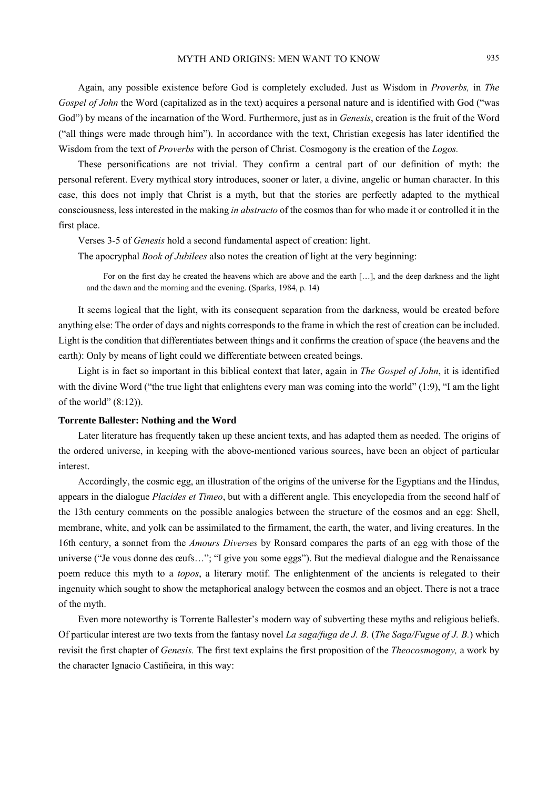# MYTH AND ORIGINS: MEN WANT TO KNOW 935

Again, any possible existence before God is completely excluded. Just as Wisdom in *Proverbs,* in *The Gospel of John* the Word (capitalized as in the text) acquires a personal nature and is identified with God ("was God") by means of the incarnation of the Word. Furthermore, just as in *Genesis*, creation is the fruit of the Word ("all things were made through him"). In accordance with the text, Christian exegesis has later identified the Wisdom from the text of *Proverbs* with the person of Christ. Cosmogony is the creation of the *Logos.* 

These personifications are not trivial. They confirm a central part of our definition of myth: the personal referent. Every mythical story introduces, sooner or later, a divine, angelic or human character. In this case, this does not imply that Christ is a myth, but that the stories are perfectly adapted to the mythical consciousness, less interested in the making *in abstracto* of the cosmos than for who made it or controlled it in the first place.

Verses 3-5 of *Genesis* hold a second fundamental aspect of creation: light.

The apocryphal *Book of Jubilees* also notes the creation of light at the very beginning:

For on the first day he created the heavens which are above and the earth […], and the deep darkness and the light and the dawn and the morning and the evening. (Sparks, 1984, p. 14)

It seems logical that the light, with its consequent separation from the darkness, would be created before anything else: The order of days and nights corresponds to the frame in which the rest of creation can be included. Light is the condition that differentiates between things and it confirms the creation of space (the heavens and the earth): Only by means of light could we differentiate between created beings.

Light is in fact so important in this biblical context that later, again in *The Gospel of John*, it is identified with the divine Word ("the true light that enlightens every man was coming into the world" (1:9), "I am the light of the world"  $(8:12)$ ).

#### **Torrente Ballester: Nothing and the Word**

Later literature has frequently taken up these ancient texts, and has adapted them as needed. The origins of the ordered universe, in keeping with the above-mentioned various sources, have been an object of particular interest.

Accordingly, the cosmic egg, an illustration of the origins of the universe for the Egyptians and the Hindus, appears in the dialogue *Placides et Timeo*, but with a different angle. This encyclopedia from the second half of the 13th century comments on the possible analogies between the structure of the cosmos and an egg: Shell, membrane, white, and yolk can be assimilated to the firmament, the earth, the water, and living creatures. In the 16th century, a sonnet from the *Amours Diverses* by Ronsard compares the parts of an egg with those of the universe ("Je vous donne des œufs…"; "I give you some eggs"). But the medieval dialogue and the Renaissance poem reduce this myth to a *topos*, a literary motif. The enlightenment of the ancients is relegated to their ingenuity which sought to show the metaphorical analogy between the cosmos and an object. There is not a trace of the myth.

Even more noteworthy is Torrente Ballester's modern way of subverting these myths and religious beliefs. Of particular interest are two texts from the fantasy novel *La saga/fuga de J. B.* (*The Saga/Fugue of J. B.*) which revisit the first chapter of *Genesis.* The first text explains the first proposition of the *Theocosmogony,* a work by the character Ignacio Castiñeira, in this way: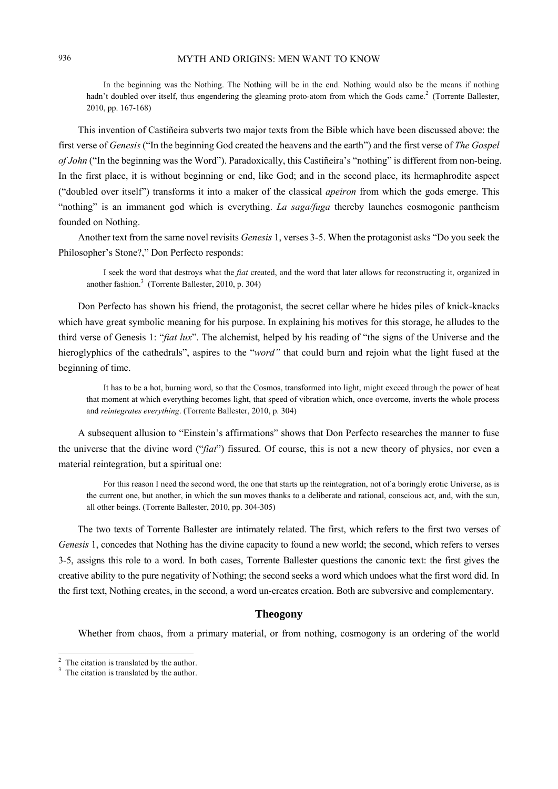In the beginning was the Nothing. The Nothing will be in the end. Nothing would also be the means if nothing hadn't doubled over itself, thus engendering the gleaming proto-atom from which the Gods came.<sup>2</sup> (Torrente Ballester, 2010, pp. 167-168)

This invention of Castiñeira subverts two major texts from the Bible which have been discussed above: the first verse of *Genesis* ("In the beginning God created the heavens and the earth") and the first verse of *The Gospel of John* ("In the beginning was the Word"). Paradoxically, this Castiñeira's "nothing" is different from non-being. In the first place, it is without beginning or end, like God; and in the second place, its hermaphrodite aspect ("doubled over itself") transforms it into a maker of the classical *apeiron* from which the gods emerge. This "nothing" is an immanent god which is everything. *La saga/fuga* thereby launches cosmogonic pantheism founded on Nothing.

Another text from the same novel revisits *Genesis* 1, verses 3-5. When the protagonist asks "Do you seek the Philosopher's Stone?," Don Perfecto responds:

I seek the word that destroys what the *fiat* created, and the word that later allows for reconstructing it, organized in another fashion. $3$  (Torrente Ballester, 2010, p. 304)

Don Perfecto has shown his friend, the protagonist, the secret cellar where he hides piles of knick-knacks which have great symbolic meaning for his purpose. In explaining his motives for this storage, he alludes to the third verse of Genesis 1: "*fiat lux*". The alchemist, helped by his reading of "the signs of the Universe and the hieroglyphics of the cathedrals", aspires to the "*word"* that could burn and rejoin what the light fused at the beginning of time.

It has to be a hot, burning word, so that the Cosmos, transformed into light, might exceed through the power of heat that moment at which everything becomes light, that speed of vibration which, once overcome, inverts the whole process and *reintegrates everything*. (Torrente Ballester, 2010, p. 304)

A subsequent allusion to "Einstein's affirmations" shows that Don Perfecto researches the manner to fuse the universe that the divine word ("*fiat*") fissured. Of course, this is not a new theory of physics, nor even a material reintegration, but a spiritual one:

For this reason I need the second word, the one that starts up the reintegration, not of a boringly erotic Universe, as is the current one, but another, in which the sun moves thanks to a deliberate and rational, conscious act, and, with the sun, all other beings. (Torrente Ballester, 2010, pp. 304-305)

The two texts of Torrente Ballester are intimately related. The first, which refers to the first two verses of *Genesis* 1, concedes that Nothing has the divine capacity to found a new world; the second, which refers to verses 3-5, assigns this role to a word. In both cases, Torrente Ballester questions the canonic text: the first gives the creative ability to the pure negativity of Nothing; the second seeks a word which undoes what the first word did. In the first text, Nothing creates, in the second, a word un-creates creation. Both are subversive and complementary.

## **Theogony**

Whether from chaos, from a primary material, or from nothing, cosmogony is an ordering of the world

<sup>&</sup>lt;sup>2</sup> The citation is translated by the author.

<sup>&</sup>lt;sup>3</sup> The citation is translated by the author.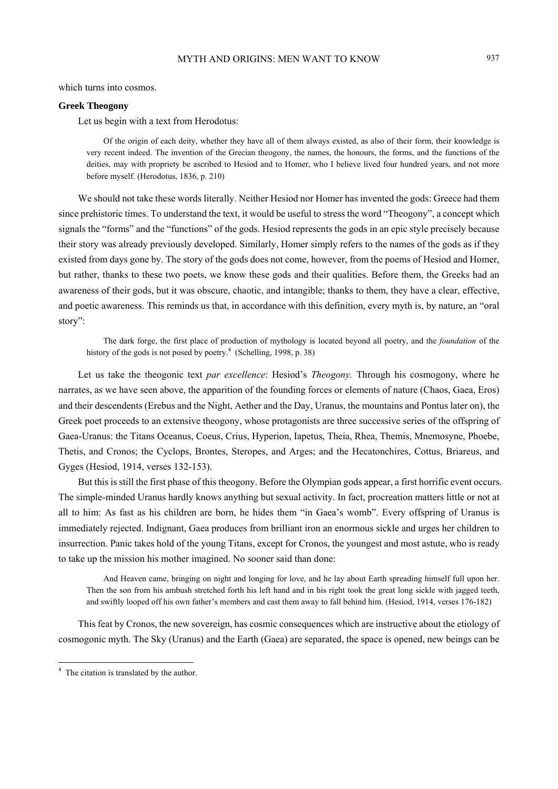which turns into cosmos.

#### **Greek Theogony**

Let us begin with a text from Herodotus:

Of the origin of each deity, whether they have all of them always existed, as also of their form, their knowledge is very recent indeed. The invention of the Grecian theogony, the names, the honours, the forms, and the functions of the deities, may with propriety be ascribed to Hesiod and to Homer, who I believe lived four hundred years, and not more before myself. (Herodotus, 1836, p. 210)

We should not take these words literally. Neither Hesiod nor Homer has invented the gods: Greece had them since prehistoric times. To understand the text, it would be useful to stress the word "Theogony", a concept which signals the "forms" and the "functions" of the gods. Hesiod represents the gods in an epic style precisely because their story was already previously developed. Similarly, Homer simply refers to the names of the gods as if they existed from days gone by. The story of the gods does not come, however, from the poems of Hesiod and Homer, but rather, thanks to these two poets, we know these gods and their qualities. Before them, the Greeks had an awareness of their gods, but it was obscure, chaotic, and intangible; thanks to them, they have a clear, effective, and poetic awareness. This reminds us that, in accordance with this definition, every myth is, by nature, an "oral story":

The dark forge, the first place of production of mythology is located beyond all poetry, and the *foundation* of the history of the gods is not posed by poetry.<sup>4</sup> (Schelling, 1998, p. 38)

Let us take the theogonic text *par excellence*: Hesiod's *Theogony.* Through his cosmogony, where he narrates, as we have seen above, the apparition of the founding forces or elements of nature (Chaos, Gaea, Eros) and their descendents (Erebus and the Night, Aether and the Day, Uranus, the mountains and Pontus later on), the Greek poet proceeds to an extensive theogony, whose protagonists are three successive series of the offspring of Gaea-Uranus: the Titans Oceanus, Coeus, Crius, Hyperion, Iapetus, Theia, Rhea, Themis, Mnemosyne, Phoebe, Thetis, and Cronos; the Cyclops, Brontes, Steropes, and Arges; and the Hecatonchires, Cottus, Briareus, and Gyges (Hesiod, 1914, verses 132-153).

But this is still the first phase of this theogony. Before the Olympian gods appear, a first horrific event occurs. The simple-minded Uranus hardly knows anything but sexual activity. In fact, procreation matters little or not at all to him: As fast as his children are born, he hides them "in Gaea's womb". Every offspring of Uranus is immediately rejected. Indignant, Gaea produces from brilliant iron an enormous sickle and urges her children to insurrection. Panic takes hold of the young Titans, except for Cronos, the youngest and most astute, who is ready to take up the mission his mother imagined. No sooner said than done:

And Heaven came, bringing on night and longing for love, and he lay about Earth spreading himself full upon her. Then the son from his ambush stretched forth his left hand and in his right took the great long sickle with jagged teeth, and swiftly looped off his own father's members and cast them away to fall behind him. (Hesiod, 1914, verses 176-182)

This feat by Cronos, the new sovereign, has cosmic consequences which are instructive about the etiology of cosmogonic myth. The Sky (Uranus) and the Earth (Gaea) are separated, the space is opened, new beings can be

 4 The citation is translated by the author.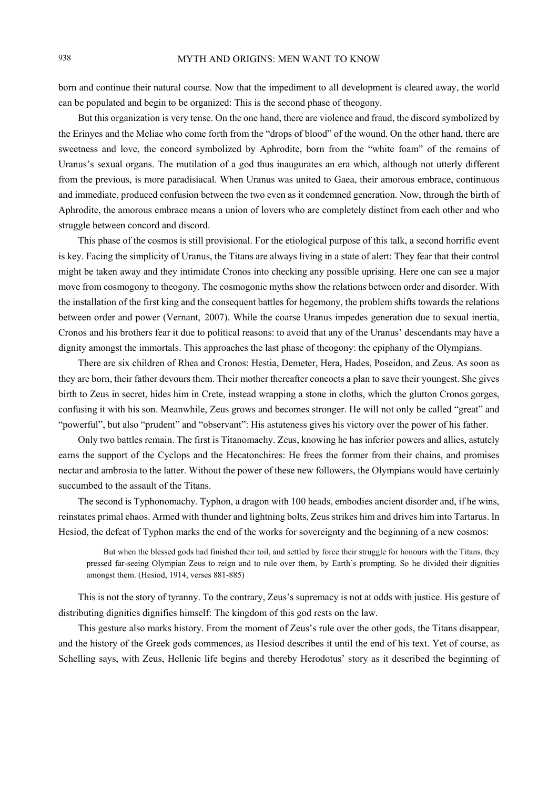born and continue their natural course. Now that the impediment to all development is cleared away, the world can be populated and begin to be organized: This is the second phase of theogony.

But this organization is very tense. On the one hand, there are violence and fraud, the discord symbolized by the Erinyes and the Meliae who come forth from the "drops of blood" of the wound. On the other hand, there are sweetness and love, the concord symbolized by Aphrodite, born from the "white foam" of the remains of Uranus's sexual organs. The mutilation of a god thus inaugurates an era which, although not utterly different from the previous, is more paradisiacal. When Uranus was united to Gaea, their amorous embrace, continuous and immediate, produced confusion between the two even as it condemned generation. Now, through the birth of Aphrodite, the amorous embrace means a union of lovers who are completely distinct from each other and who struggle between concord and discord.

This phase of the cosmos is still provisional. For the etiological purpose of this talk, a second horrific event is key. Facing the simplicity of Uranus, the Titans are always living in a state of alert: They fear that their control might be taken away and they intimidate Cronos into checking any possible uprising. Here one can see a major move from cosmogony to theogony. The cosmogonic myths show the relations between order and disorder. With the installation of the first king and the consequent battles for hegemony, the problem shifts towards the relations between order and power (Vernant, 2007). While the coarse Uranus impedes generation due to sexual inertia, Cronos and his brothers fear it due to political reasons: to avoid that any of the Uranus' descendants may have a dignity amongst the immortals. This approaches the last phase of theogony: the epiphany of the Olympians.

There are six children of Rhea and Cronos: Hestia, Demeter, Hera, Hades, Poseidon, and Zeus. As soon as they are born, their father devours them. Their mother thereafter concocts a plan to save their youngest. She gives birth to Zeus in secret, hides him in Crete, instead wrapping a stone in cloths, which the glutton Cronos gorges, confusing it with his son. Meanwhile, Zeus grows and becomes stronger. He will not only be called "great" and "powerful", but also "prudent" and "observant": His astuteness gives his victory over the power of his father.

Only two battles remain. The first is Titanomachy. Zeus, knowing he has inferior powers and allies, astutely earns the support of the Cyclops and the Hecatonchires: He frees the former from their chains, and promises nectar and ambrosia to the latter. Without the power of these new followers, the Olympians would have certainly succumbed to the assault of the Titans.

The second is Typhonomachy. Typhon, a dragon with 100 heads, embodies ancient disorder and, if he wins, reinstates primal chaos. Armed with thunder and lightning bolts, Zeus strikes him and drives him into Tartarus. In Hesiod, the defeat of Typhon marks the end of the works for sovereignty and the beginning of a new cosmos:

But when the blessed gods had finished their toil, and settled by force their struggle for honours with the Titans, they pressed far-seeing Olympian Zeus to reign and to rule over them, by Earth's prompting. So he divided their dignities amongst them. (Hesiod, 1914, verses 881-885)

This is not the story of tyranny. To the contrary, Zeus's supremacy is not at odds with justice. His gesture of distributing dignities dignifies himself: The kingdom of this god rests on the law.

This gesture also marks history. From the moment of Zeus's rule over the other gods, the Titans disappear, and the history of the Greek gods commences, as Hesiod describes it until the end of his text. Yet of course, as Schelling says, with Zeus, Hellenic life begins and thereby Herodotus' story as it described the beginning of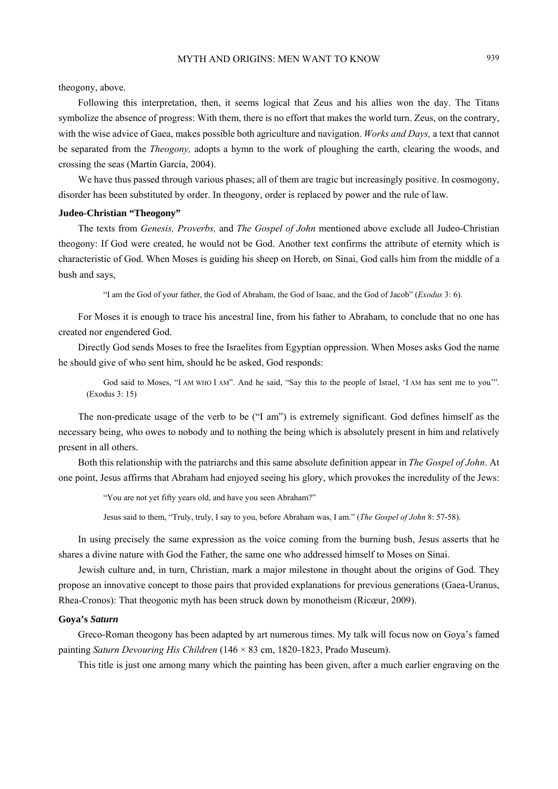theogony, above.

Following this interpretation, then, it seems logical that Zeus and his allies won the day. The Titans symbolize the absence of progress: With them, there is no effort that makes the world turn. Zeus, on the contrary, with the wise advice of Gaea, makes possible both agriculture and navigation. *Works and Days,* a text that cannot be separated from the *Theogony,* adopts a hymn to the work of ploughing the earth, clearing the woods, and crossing the seas (Martín García, 2004).

We have thus passed through various phases; all of them are tragic but increasingly positive. In cosmogony, disorder has been substituted by order. In theogony, order is replaced by power and the rule of law.

#### **Judeo-Christian "Theogony"**

The texts from *Genesis, Proverbs,* and *The Gospel of John* mentioned above exclude all Judeo-Christian theogony: If God were created, he would not be God. Another text confirms the attribute of eternity which is characteristic of God. When Moses is guiding his sheep on Horeb, on Sinai, God calls him from the middle of a bush and says,

"I am the God of your father, the God of Abraham, the God of Isaac, and the God of Jacob" (*Exodus* 3: 6).

For Moses it is enough to trace his ancestral line, from his father to Abraham, to conclude that no one has created nor engendered God.

Directly God sends Moses to free the Israelites from Egyptian oppression. When Moses asks God the name he should give of who sent him, should he be asked, God responds:

God said to Moses, "I AM WHO I AM". And he said, "Say this to the people of Israel, 'I AM has sent me to you'". (Exodus 3: 15)

The non-predicate usage of the verb to be ("I am") is extremely significant. God defines himself as the necessary being, who owes to nobody and to nothing the being which is absolutely present in him and relatively present in all others.

Both this relationship with the patriarchs and this same absolute definition appear in *The Gospel of John*. At one point, Jesus affirms that Abraham had enjoyed seeing his glory, which provokes the incredulity of the Jews:

"You are not yet fifty years old, and have you seen Abraham?"

Jesus said to them, "Truly, truly, I say to you, before Abraham was, I am." (*The Gospel of John* 8: 57-58).

In using precisely the same expression as the voice coming from the burning bush, Jesus asserts that he shares a divine nature with God the Father, the same one who addressed himself to Moses on Sinai.

Jewish culture and, in turn, Christian, mark a major milestone in thought about the origins of God. They propose an innovative concept to those pairs that provided explanations for previous generations (Gaea-Uranus, Rhea-Cronos): That theogonic myth has been struck down by monotheism (Ricœur, 2009).

#### **Goya's** *Saturn*

Greco-Roman theogony has been adapted by art numerous times. My talk will focus now on Goya's famed painting *Saturn Devouring His Children* (146 × 83 cm, 1820-1823, Prado Museum).

This title is just one among many which the painting has been given, after a much earlier engraving on the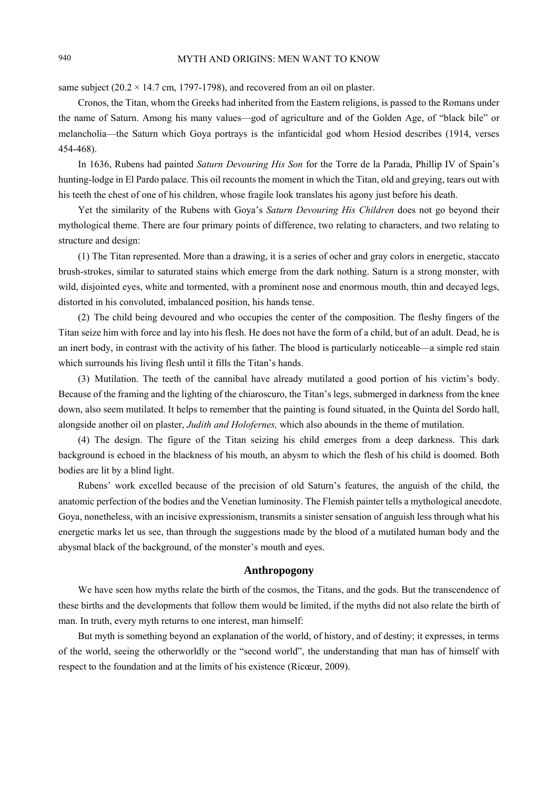same subject ( $20.2 \times 14.7$  cm, 1797-1798), and recovered from an oil on plaster.

Cronos, the Titan, whom the Greeks had inherited from the Eastern religions, is passed to the Romans under the name of Saturn. Among his many values—god of agriculture and of the Golden Age, of "black bile" or melancholia—the Saturn which Goya portrays is the infanticidal god whom Hesiod describes (1914, verses 454-468).

In 1636, Rubens had painted *Saturn Devouring His Son* for the Torre de la Parada, Phillip IV of Spain's hunting-lodge in El Pardo palace. This oil recounts the moment in which the Titan, old and greying, tears out with his teeth the chest of one of his children, whose fragile look translates his agony just before his death.

Yet the similarity of the Rubens with Goya's *Saturn Devouring His Children* does not go beyond their mythological theme. There are four primary points of difference, two relating to characters, and two relating to structure and design:

(1) The Titan represented. More than a drawing, it is a series of ocher and gray colors in energetic, staccato brush-strokes, similar to saturated stains which emerge from the dark nothing. Saturn is a strong monster, with wild, disjointed eyes, white and tormented, with a prominent nose and enormous mouth, thin and decayed legs, distorted in his convoluted, imbalanced position, his hands tense.

(2) The child being devoured and who occupies the center of the composition. The fleshy fingers of the Titan seize him with force and lay into his flesh. He does not have the form of a child, but of an adult. Dead, he is an inert body, in contrast with the activity of his father. The blood is particularly noticeable—a simple red stain which surrounds his living flesh until it fills the Titan's hands.

(3) Mutilation. The teeth of the cannibal have already mutilated a good portion of his victim's body. Because of the framing and the lighting of the chiaroscuro, the Titan's legs, submerged in darkness from the knee down, also seem mutilated. It helps to remember that the painting is found situated, in the Quinta del Sordo hall, alongside another oil on plaster, *Judith and Holofernes,* which also abounds in the theme of mutilation.

(4) The design. The figure of the Titan seizing his child emerges from a deep darkness. This dark background is echoed in the blackness of his mouth, an abysm to which the flesh of his child is doomed. Both bodies are lit by a blind light.

Rubens' work excelled because of the precision of old Saturn's features, the anguish of the child, the anatomic perfection of the bodies and the Venetian luminosity. The Flemish painter tells a mythological anecdote. Goya, nonetheless, with an incisive expressionism, transmits a sinister sensation of anguish less through what his energetic marks let us see, than through the suggestions made by the blood of a mutilated human body and the abysmal black of the background, of the monster's mouth and eyes.

### **Anthropogony**

We have seen how myths relate the birth of the cosmos, the Titans, and the gods. But the transcendence of these births and the developments that follow them would be limited, if the myths did not also relate the birth of man. In truth, every myth returns to one interest, man himself:

But myth is something beyond an explanation of the world, of history, and of destiny; it expresses, in terms of the world, seeing the otherworldly or the "second world", the understanding that man has of himself with respect to the foundation and at the limits of his existence (Ricœur, 2009).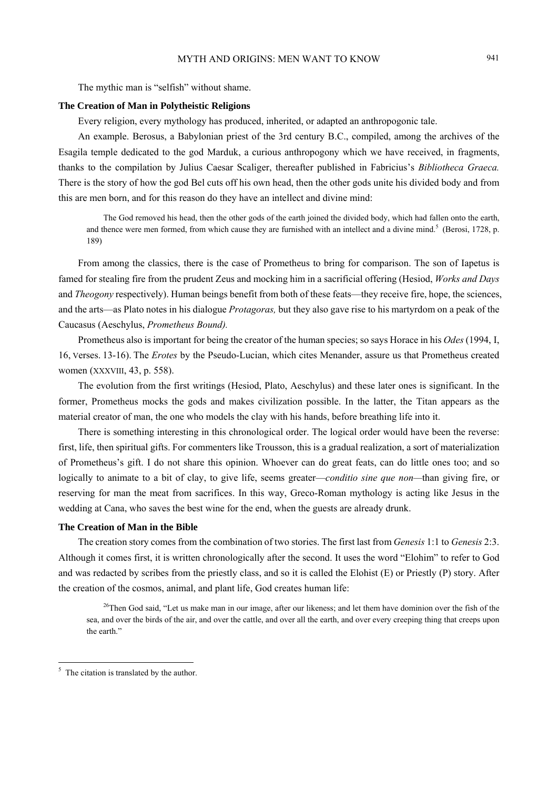# MYTH AND ORIGINS: MEN WANT TO KNOW 941

The mythic man is "selfish" without shame.

#### **The Creation of Man in Polytheistic Religions**

Every religion, every mythology has produced, inherited, or adapted an anthropogonic tale.

An example. Berosus, a Babylonian priest of the 3rd century B.C., compiled, among the archives of the Esagila temple dedicated to the god Marduk, a curious anthropogony which we have received, in fragments, thanks to the compilation by Julius Caesar Scaliger, thereafter published in Fabricius's *Bibliotheca Graeca.*  There is the story of how the god Bel cuts off his own head, then the other gods unite his divided body and from this are men born, and for this reason do they have an intellect and divine mind:

The God removed his head, then the other gods of the earth joined the divided body, which had fallen onto the earth, and thence were men formed, from which cause they are furnished with an intellect and a divine mind.<sup>5</sup> (Berosi, 1728, p. 189)

From among the classics, there is the case of Prometheus to bring for comparison. The son of Iapetus is famed for stealing fire from the prudent Zeus and mocking him in a sacrificial offering (Hesiod, *Works and Days*  and *Theogony* respectively). Human beings benefit from both of these feats—they receive fire, hope, the sciences, and the arts—as Plato notes in his dialogue *Protagoras,* but they also gave rise to his martyrdom on a peak of the Caucasus (Aeschylus, *Prometheus Bound).* 

Prometheus also is important for being the creator of the human species; so says Horace in his *Odes* (1994, I, 16, Verses. 13-16). The *Erotes* by the Pseudo-Lucian, which cites Menander, assure us that Prometheus created women (XXXVIII, 43, p. 558).

The evolution from the first writings (Hesiod, Plato, Aeschylus) and these later ones is significant. In the former, Prometheus mocks the gods and makes civilization possible. In the latter, the Titan appears as the material creator of man, the one who models the clay with his hands, before breathing life into it.

There is something interesting in this chronological order. The logical order would have been the reverse: first, life, then spiritual gifts. For commenters like Trousson, this is a gradual realization, a sort of materialization of Prometheus's gift. I do not share this opinion. Whoever can do great feats, can do little ones too; and so logically to animate to a bit of clay, to give life, seems greater—*conditio sine que non—*than giving fire, or reserving for man the meat from sacrifices. In this way, Greco-Roman mythology is acting like Jesus in the wedding at Cana, who saves the best wine for the end, when the guests are already drunk.

## **The Creation of Man in the Bible**

The creation story comes from the combination of two stories. The first last from *Genesis* 1:1 to *Genesis* 2:3. Although it comes first, it is written chronologically after the second. It uses the word "Elohim" to refer to God and was redacted by scribes from the priestly class, and so it is called the Elohist (E) or Priestly (P) story. After the creation of the cosmos, animal, and plant life, God creates human life:

<sup>26</sup>Then God said, "Let us make man in our image, after our likeness; and let them have dominion over the fish of the sea, and over the birds of the air, and over the cattle, and over all the earth, and over every creeping thing that creeps upon the earth."

<sup>&</sup>lt;sup>5</sup> The citation is translated by the author.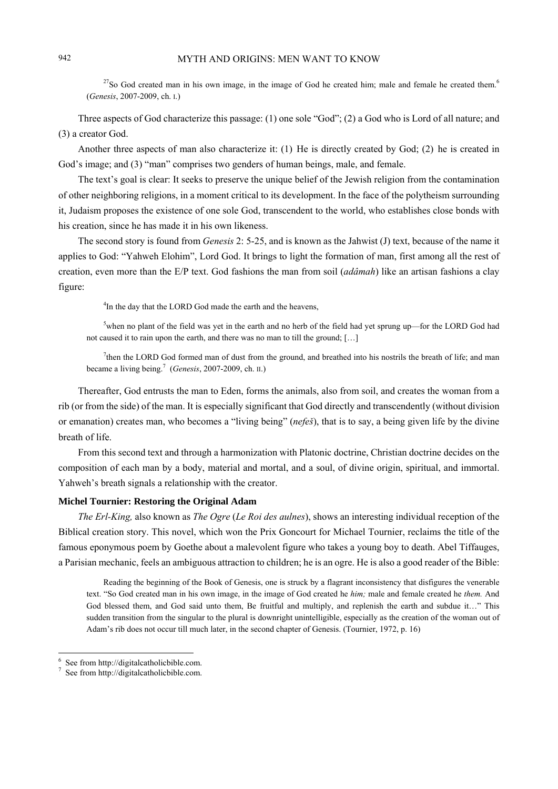$^{27}$ So God created man in his own image, in the image of God he created him; male and female he created them.<sup>6</sup> (*Genesis*, 2007-2009, ch. I.)

Three aspects of God characterize this passage: (1) one sole "God"; (2) a God who is Lord of all nature; and (3) a creator God.

Another three aspects of man also characterize it: (1) He is directly created by God; (2) he is created in God's image; and (3) "man" comprises two genders of human beings, male, and female.

The text's goal is clear: It seeks to preserve the unique belief of the Jewish religion from the contamination of other neighboring religions, in a moment critical to its development. In the face of the polytheism surrounding it, Judaism proposes the existence of one sole God, transcendent to the world, who establishes close bonds with his creation, since he has made it in his own likeness.

The second story is found from *Genesis* 2: 5-25, and is known as the Jahwist (J) text, because of the name it applies to God: "Yahweh Elohim", Lord God. It brings to light the formation of man, first among all the rest of creation, even more than the E/P text. God fashions the man from soil (*adâmah*) like an artisan fashions a clay figure:

<sup>4</sup>In the day that the LORD God made the earth and the heavens,

 $5$ when no plant of the field was yet in the earth and no herb of the field had yet sprung up—for the LORD God had not caused it to rain upon the earth, and there was no man to till the ground; […]

<sup>7</sup>then the LORD God formed man of dust from the ground, and breathed into his nostrils the breath of life; and man became a living being.7 (*Genesis*, 2007-2009, ch. II.)

Thereafter, God entrusts the man to Eden, forms the animals, also from soil, and creates the woman from a rib (or from the side) of the man. It is especially significant that God directly and transcendently (without division or emanation) creates man, who becomes a "living being" (*nefeš*), that is to say, a being given life by the divine breath of life.

From this second text and through a harmonization with Platonic doctrine, Christian doctrine decides on the composition of each man by a body, material and mortal, and a soul, of divine origin, spiritual, and immortal. Yahweh's breath signals a relationship with the creator.

#### **Michel Tournier: Restoring the Original Adam**

*The Erl-King,* also known as *The Ogre* (*Le Roi des aulnes*), shows an interesting individual reception of the Biblical creation story. This novel, which won the Prix Goncourt for Michael Tournier, reclaims the title of the famous eponymous poem by Goethe about a malevolent figure who takes a young boy to death. Abel Tiffauges, a Parisian mechanic, feels an ambiguous attraction to children; he is an ogre. He is also a good reader of the Bible:

Reading the beginning of the Book of Genesis, one is struck by a flagrant inconsistency that disfigures the venerable text. "So God created man in his own image, in the image of God created he *him;* male and female created he *them.* And God blessed them, and God said unto them, Be fruitful and multiply, and replenish the earth and subdue it…" This sudden transition from the singular to the plural is downright unintelligible, especially as the creation of the woman out of Adam's rib does not occur till much later, in the second chapter of Genesis. (Tournier, 1972, p. 16)

 $\overline{a}$ 

<sup>6</sup> See from http://digitalcatholicbible.com.

<sup>7</sup> See from http://digitalcatholicbible.com.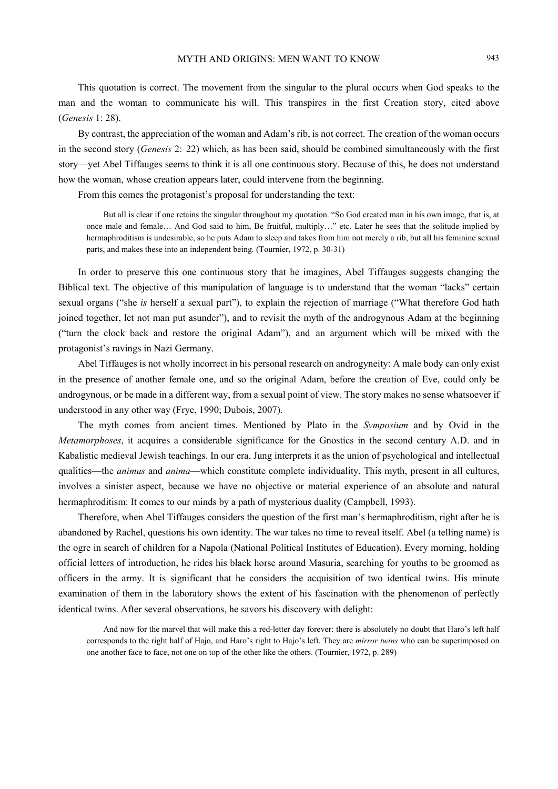This quotation is correct. The movement from the singular to the plural occurs when God speaks to the man and the woman to communicate his will. This transpires in the first Creation story, cited above (*Genesis* 1: 28).

By contrast, the appreciation of the woman and Adam's rib, is not correct. The creation of the woman occurs in the second story (*Genesis* 2: 22) which, as has been said, should be combined simultaneously with the first story—yet Abel Tiffauges seems to think it is all one continuous story. Because of this, he does not understand how the woman, whose creation appears later, could intervene from the beginning.

From this comes the protagonist's proposal for understanding the text:

But all is clear if one retains the singular throughout my quotation. "So God created man in his own image, that is, at once male and female… And God said to him, Be fruitful, multiply…" etc. Later he sees that the solitude implied by hermaphroditism is undesirable, so he puts Adam to sleep and takes from him not merely a rib, but all his feminine sexual parts, and makes these into an independent being. (Tournier, 1972, p. 30-31)

In order to preserve this one continuous story that he imagines, Abel Tiffauges suggests changing the Biblical text. The objective of this manipulation of language is to understand that the woman "lacks" certain sexual organs ("she *is* herself a sexual part"), to explain the rejection of marriage ("What therefore God hath joined together, let not man put asunder"), and to revisit the myth of the androgynous Adam at the beginning ("turn the clock back and restore the original Adam"), and an argument which will be mixed with the protagonist's ravings in Nazi Germany.

Abel Tiffauges is not wholly incorrect in his personal research on androgyneity: A male body can only exist in the presence of another female one, and so the original Adam, before the creation of Eve, could only be androgynous, or be made in a different way, from a sexual point of view. The story makes no sense whatsoever if understood in any other way (Frye, 1990; Dubois, 2007).

The myth comes from ancient times. Mentioned by Plato in the *Symposium* and by Ovid in the *Metamorphoses*, it acquires a considerable significance for the Gnostics in the second century A.D. and in Kabalistic medieval Jewish teachings. In our era, Jung interprets it as the union of psychological and intellectual qualities—the *animus* and *anima*—which constitute complete individuality. This myth, present in all cultures, involves a sinister aspect, because we have no objective or material experience of an absolute and natural hermaphroditism: It comes to our minds by a path of mysterious duality (Campbell, 1993).

Therefore, when Abel Tiffauges considers the question of the first man's hermaphroditism, right after he is abandoned by Rachel, questions his own identity. The war takes no time to reveal itself. Abel (a telling name) is the ogre in search of children for a Napola (National Political Institutes of Education). Every morning, holding official letters of introduction, he rides his black horse around Masuria, searching for youths to be groomed as officers in the army. It is significant that he considers the acquisition of two identical twins. His minute examination of them in the laboratory shows the extent of his fascination with the phenomenon of perfectly identical twins. After several observations, he savors his discovery with delight:

And now for the marvel that will make this a red-letter day forever: there is absolutely no doubt that Haro's left half corresponds to the right half of Hajo, and Haro's right to Hajo's left. They are *mirror twins* who can be superimposed on one another face to face, not one on top of the other like the others. (Tournier, 1972, p. 289)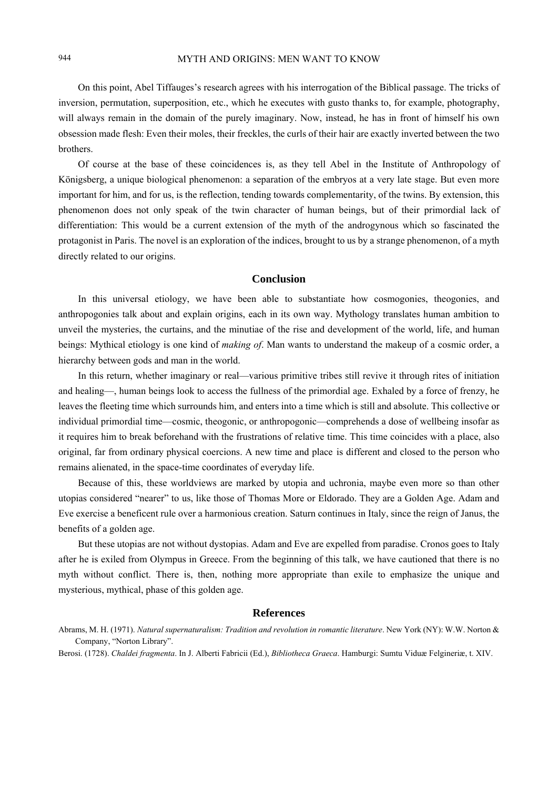On this point, Abel Tiffauges's research agrees with his interrogation of the Biblical passage. The tricks of inversion, permutation, superposition, etc., which he executes with gusto thanks to, for example, photography, will always remain in the domain of the purely imaginary. Now, instead, he has in front of himself his own obsession made flesh: Even their moles, their freckles, the curls of their hair are exactly inverted between the two brothers.

Of course at the base of these coincidences is, as they tell Abel in the Institute of Anthropology of Königsberg, a unique biological phenomenon: a separation of the embryos at a very late stage. But even more important for him, and for us, is the reflection, tending towards complementarity, of the twins. By extension, this phenomenon does not only speak of the twin character of human beings, but of their primordial lack of differentiation: This would be a current extension of the myth of the androgynous which so fascinated the protagonist in Paris. The novel is an exploration of the indices, brought to us by a strange phenomenon, of a myth directly related to our origins.

## **Conclusion**

In this universal etiology, we have been able to substantiate how cosmogonies, theogonies, and anthropogonies talk about and explain origins, each in its own way. Mythology translates human ambition to unveil the mysteries, the curtains, and the minutiae of the rise and development of the world, life, and human beings: Mythical etiology is one kind of *making of*. Man wants to understand the makeup of a cosmic order, a hierarchy between gods and man in the world.

In this return, whether imaginary or real—various primitive tribes still revive it through rites of initiation and healing—, human beings look to access the fullness of the primordial age. Exhaled by a force of frenzy, he leaves the fleeting time which surrounds him, and enters into a time which is still and absolute. This collective or individual primordial time—cosmic, theogonic, or anthropogonic—comprehends a dose of wellbeing insofar as it requires him to break beforehand with the frustrations of relative time. This time coincides with a place, also original, far from ordinary physical coercions. A new time and place is different and closed to the person who remains alienated, in the space-time coordinates of everyday life.

Because of this, these worldviews are marked by utopia and uchronia, maybe even more so than other utopias considered "nearer" to us, like those of Thomas More or Eldorado. They are a Golden Age. Adam and Eve exercise a beneficent rule over a harmonious creation. Saturn continues in Italy, since the reign of Janus, the benefits of a golden age.

But these utopias are not without dystopias. Adam and Eve are expelled from paradise. Cronos goes to Italy after he is exiled from Olympus in Greece. From the beginning of this talk, we have cautioned that there is no myth without conflict. There is, then, nothing more appropriate than exile to emphasize the unique and mysterious, mythical, phase of this golden age.

#### **References**

Abrams, M. H. (1971). *Natural supernaturalism: Tradition and revolution in romantic literature*. New York (NY): W.W. Norton & Company, "Norton Library".

Berosi. (1728). *Chaldei fragmenta*. In J. Alberti Fabricii (Ed.), *Bibliotheca Graeca*. Hamburgi: Sumtu Viduæ Felgineriæ, t. XIV.